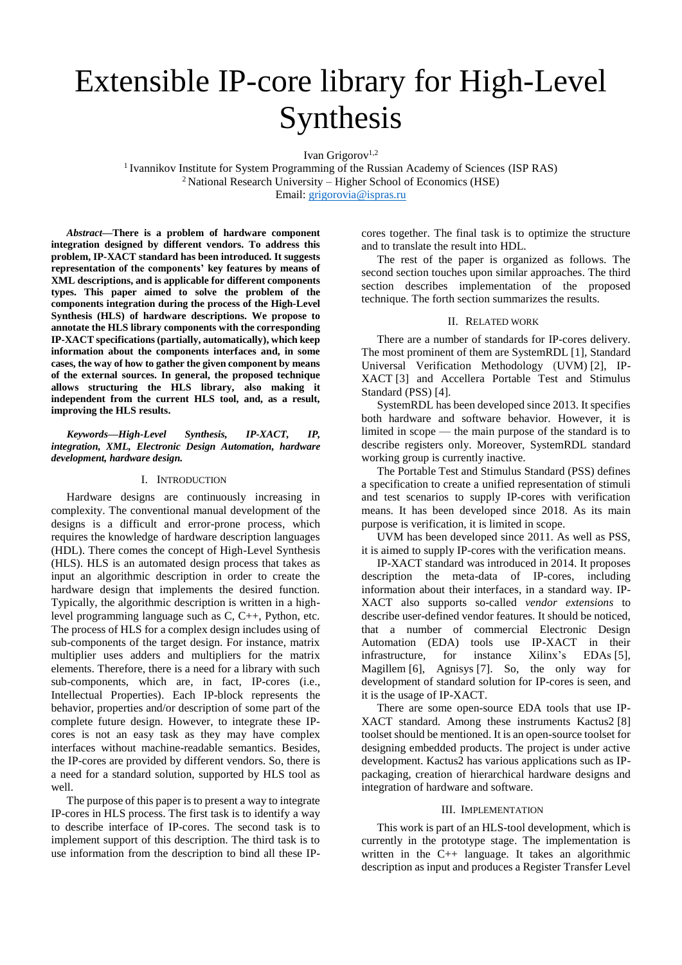# Extensible IP-core library for High-Level Synthesis

Ivan Grigorov<sup>1,2</sup>

<sup>1</sup> Ivannikov Institute for System Programming of the Russian Academy of Sciences (ISP RAS) <sup>2</sup> National Research University – Higher School of Economics (HSE) Email[: grigorovia@ispras.ru](mailto:grigorovia@ispras.ru)

*Abstract***—There is a problem of hardware component integration designed by different vendors. To address this problem, IP-XACT standard has been introduced. It suggests representation of the components' key features by means of XML descriptions, and is applicable for different components types. This paper aimed to solve the problem of the components integration during the process of the High-Level Synthesis (HLS) of hardware descriptions. We propose to annotate the HLS library components with the corresponding IP-XACT specifications (partially, automatically), which keep information about the components interfaces and, in some cases, the way of how to gather the given component by means of the external sources. In general, the proposed technique allows structuring the HLS library, also making it independent from the current HLS tool, and, as a result, improving the HLS results.**

### *Keywords—High-Level Synthesis, IP-XACT, IP, integration, XML, Electronic Design Automation, hardware development, hardware design.*

### I. INTRODUCTION

Hardware designs are continuously increasing in complexity. The conventional manual development of the designs is a difficult and error-prone process, which requires the knowledge of hardware description languages (HDL). There comes the concept of High-Level Synthesis (HLS). HLS is an automated design process that takes as input an algorithmic description in order to create the hardware design that implements the desired function. Typically, the algorithmic description is written in a highlevel programming language such as C, C++, Python, etc. The process of HLS for a complex design includes using of sub-components of the target design. For instance, matrix multiplier uses adders and multipliers for the matrix elements. Therefore, there is a need for a library with such sub-components, which are, in fact, IP-cores (i.e., Intellectual Properties). Each IP-block represents the behavior, properties and/or description of some part of the complete future design. However, to integrate these IPcores is not an easy task as they may have complex interfaces without machine-readable semantics. Besides, the IP-cores are provided by different vendors. So, there is a need for a standard solution, supported by HLS tool as well.

The purpose of this paper is to present a way to integrate IP-cores in HLS process. The first task is to identify a way to describe interface of IP-cores. The second task is to implement support of this description. The third task is to use information from the description to bind all these IP-

cores together. The final task is to optimize the structure and to translate the result into HDL.

The rest of the paper is organized as follows. The second section touches upon similar approaches. The third section describes implementation of the proposed technique. The forth section summarizes the results.

### II. RELATED WORK

There are a number of standards for IP-cores delivery. The most prominent of them are SystemRDL [1], Standard Universal Verification Methodology (UVM) [2], IP-XACT [3] and Accellera Portable Test and Stimulus Standard (PSS) [4].

SystemRDL has been developed since 2013. It specifies both hardware and software behavior. However, it is limited in scope — the main purpose of the standard is to describe registers only. Moreover, SystemRDL standard working group is currently inactive.

The Portable Test and Stimulus Standard (PSS) defines a specification to create a unified representation of stimuli and test scenarios to supply IP-cores with verification means. It has been developed since 2018. As its main purpose is verification, it is limited in scope.

UVM has been developed since 2011. As well as PSS, it is aimed to supply IP-cores with the verification means.

IP-XACT standard was introduced in 2014. It proposes description the meta-data of IP-cores, including information about their interfaces, in a standard way. IP-XACT also supports so-called *vendor extensions* to describe user-defined vendor features. It should be noticed, that a number of commercial Electronic Design Automation (EDA) tools use IP-XACT in their<br>infrastructure, for instance Xilinx's EDAs [5]. infrastructure, for instance Xilinx's EDAs [5], Magillem [6], Agnisys [7]. So, the only way for development of standard solution for IP-cores is seen, and it is the usage of IP-XACT.

There are some open-source EDA tools that use IP-XACT standard. Among these instruments Kactus2 [8] toolset should be mentioned. It is an open-source toolset for designing embedded products. The project is under active development. Kactus2 has various applications such as IPpackaging, creation of hierarchical hardware designs and integration of hardware and software.

## III. IMPLEMENTATION

This work is part of an HLS-tool development, which is currently in the prototype stage. The implementation is written in the C++ language. It takes an algorithmic description as input and produces a Register Transfer Level